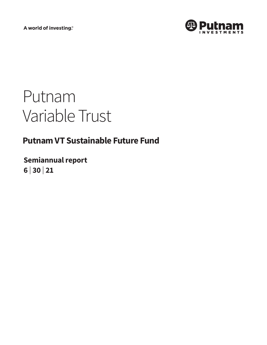A world of investing®



# Putnam Variable Trust

# **Putnam VT Sustainable Future Fund**

**Semiannual report 6 <sup>|</sup> 30 <sup>|</sup> 21**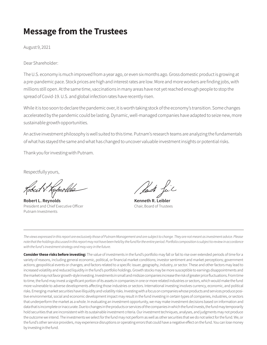# **Message from the Trustees**

August 9, 2021

Dear Shareholder:

The U.S. economy is much improved from a year ago, or even six months ago. Gross domestic product is growing at a pre-pandemic pace. Stock prices are high and interest rates are low. More and more workers are finding jobs, with millions still open. At the same time, vaccinations in many areas have not yet reached enough people to stop the spread of Covid-19. U.S. and global infection rates have recently risen.

While it is too soon to declare the pandemic over, it is worth taking stock of the economy's transition. Some changes accelerated by the pandemic could be lasting. Dynamic, well-managed companies have adapted to seize new, more sustainable growth opportunities.

An active investment philosophy is well suited to this time. Putnam's research teams are analyzing the fundamentals of what has stayed the same and what has changed to uncover valuable investment insights or potential risks.

Thank you for investing with Putnam.

Respectfully yours,

**Robert L. Reynolds Kenneth R. Leibler** President and Chief Executive Officer Chair, Board of Trustees Putnam Investments

*The views expressed in this report are exclusively those of Putnam Management and are subject to change. They are not meant as investment advice. Please note that the holdings discussed in this report may not have been held by the fund for the entire period. Portfolio composition is subject to review in accordance with the fund's investment strategy and may vary in the future.*

**Consider these risks before investing:** The value of investments in the fund's portfolio may fall or fail to rise over extended periods of time for a variety of reasons, including general economic, political, or financial market conditions; investor sentiment and market perceptions; government actions; geopolitical events or changes; and factors related to a specific issuer, geography, industry, or sector. These and other factors may lead to increased volatility and reduced liquidity in the fund's portfolio holdings. Growth stocks may be more susceptible to earnings disappointments and the market may not favor growth-style investing. Investments in small and midsize companies increase the risk of greater price fluctuations. From time to time, the fund may invest a significant portion of its assets in companies in one or more related industries or sectors, which would make the fund more vulnerable to adverse developments affecting those industries or sectors. International investing involves currency, economic, and political risks. Emerging-market securities have illiquidity and volatility risks. Investing with a focus on companies whose products and services produce positive environmental, social and economic development impact may result in the fund investing in certain types of companies, industries, or sectors that underperform the market as a whole. In evaluating an investment opportunity, we may make investment decisions based on information and data that is incomplete or inaccurate. Due to changes in the products or services of the companies in which the fund invests, the fund may temporarily hold securities that are inconsistent with its sustainable investment criteria. Our investment techniques, analyses, and judgments may not produce the outcome we intend. The investments we select for the fund may not perform as well as other securities that we do not select for the fund. We, or the fund's other service providers, may experience disruptions or operating errors that could have a negative effect on the fund. You can lose money by investing in the fund.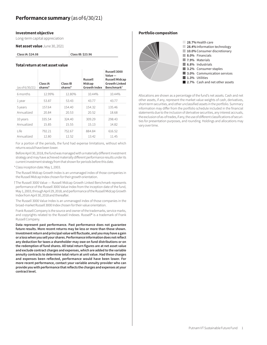#### **Investment objective**

Long-term capital appreciation

**Net asset value** June 30, 2021

**Class IA: \$24.08 Class IB: \$23.96**

#### **Total return at net asset value**

| (as of 6/30/21) | Class IA<br>shares* | Class IB<br>shares* | Russell<br>Midcap<br><b>Growth Index</b> | Russell 3000<br>Value-<br><b>Russell Midcap</b><br><b>Growth Linked</b><br>Benchmark <sup>†</sup> |
|-----------------|---------------------|---------------------|------------------------------------------|---------------------------------------------------------------------------------------------------|
| 6 months        | 12.99%              | 12.80%              | 10.44%                                   | 10.44%                                                                                            |
| 1 year          | 53.87               | 53.43               | 43.77                                    | 43.77                                                                                             |
| 5 years         | 157.64              | 154.40              | 154.32                                   | 135.46                                                                                            |
| Annualized      | 20.84               | 20.53               | 20.52                                    | 18.68                                                                                             |
| 10 years        | 335.54              | 324.40              | 309.29                                   | 298.43                                                                                            |
| Annualized      | 15.85               | 15.55               | 15.13                                    | 14.82                                                                                             |
| l ife           | 792.21              | 752.67              | 884.84                                   | 616.52                                                                                            |
| Annualized      | 12.80               | 12.52               | 13.42                                    | 11.45                                                                                             |

For a portion of the periods, the fund had expense limitations, without which returns would have been lower.

Before April 30, 2018, the fund was managed with a materially different investment strategy and may have achieved materially different performance results under its current investment strategy from that shown for periods before this date.

\*Class inception date: May 1, 2003.

The Russell Midcap Growth Index is an unmanaged index of those companies in the Russell Midcap Index chosen for their growth orientation.

†The Russell 3000 Value — Russell Midcap Growth Linked Benchmark represents performance of the Russell 3000 Value Index from the inception date of the fund, May 1, 2003, through April 29, 2018, and performance of the Russell Midcap Growth Index from April 30, 2018 and thereafter.

The Russell 3000 Value Index is an unmanaged index of those companies in the broad-market Russell 3000 Index chosen for their value orientation.

Frank Russell Company is the source and owner of the trademarks, service marks, and copyrights related to the Russell Indexes. Russell® is a trademark of Frank Russell Company.

**Data represent past performance. Past performance does not guarantee future results. More recent returns may be less or more than those shown. Investment return and principal value will fluctuate, and you may have a gain or a loss when you sell your shares. Performance information does not reflect any deduction for taxes a shareholder may owe on fund distributions or on the redemption of fund shares. All total return figures are at net asset value and exclude contract charges and expenses, which are added to the variable annuity contracts to determine total return at unit value. Had these charges and expenses been reflected, performance would have been lower. For more recent performance, contact your variable annuity provider who can provide you with performance that reflects the charges and expenses at your contract level.**

#### **Portfolio composition**



Allocations are shown as a percentage of the fund's net assets. Cash and net other assets, if any, represent the market value weights of cash, derivatives, short-term securities, and other unclassified assets in the portfolio. Summary information may differ from the portfolio schedule included in the financial statements due to the inclusion of derivative securities, any interest accruals, the exclusion of as-of trades, if any, the use of different classifications of securities for presentation purposes, and rounding. Holdings and allocations may vary over time.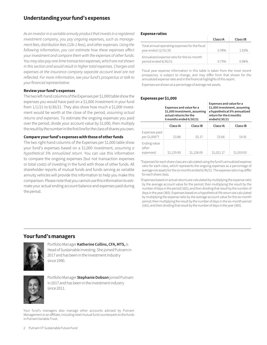# **Understanding your fund's expenses**

*As an investor in a variable annuity product that invests in a registered investment company, you pay ongoing expenses, such as management fees, distribution fees (12b-1 fees), and other expenses. Using the following information, you can estimate how these expenses affect your investment and compare them with the expenses of other funds. You may also pay one-time transaction expenses, which are not shown in this section and would result in higher total expenses. Charges and*  expenses at the insurance company separate account level are not *reflected. For more information, see your fund's prospectus or talk to your financial representative.*

#### **Review your fund's expenses**

The two left-hand columns of the Expenses per \$1,000 table show the expenses you would have paid on a \$1,000 investment in your fund from  $1/1/21$  to  $6/30/21$ . They also show how much a \$1,000 investment would be worth at the close of the period, *assuming actual returns and expenses*. To estimate the ongoing expenses you paid over the period, divide your account value by \$1,000, then multiply the result by the number in the first line for the class of shares you own.

#### **Compare your fund's expenses with those of other funds**

The two right-hand columns of the Expenses per \$1,000 table show your fund's expenses based on a \$1,000 investment, *assuming a hypothetical 5% annualized return*. You can use this information to compare the ongoing expenses (but not transaction expenses or total costs) of investing in the fund with those of other funds. All shareholder reports of mutual funds and funds serving as variable annuity vehicles will provide this information to help you make this comparison. Please note that you cannot use this information to estimate your actual ending account balance and expenses paid during the period.

#### **Expense ratios**

|                                                                       | Class IA | Class IB |
|-----------------------------------------------------------------------|----------|----------|
| Total annual operating expenses for the fiscal<br>year ended 12/31/20 | 0.78%    | 1.03%    |
| Annualized expense ratio for the six-month<br>period ended 6/30/21    | 0.73%    | በ ዓጸ%    |

Fiscal year expense information in this table is taken from the most recent prospectus, is subject to change, and may differ from that shown for the annualized expense ratio and in the financial highlights of this report.

Expenses are shown as a percentage of average net assets.

#### **Expenses per \$1,000**

|                                     | Expenses and value for a<br>\$1,000 investment, assuming<br>actual returns for the<br>6 months ended 6/30/21 |            | <b>Expenses and value for a</b><br>\$1,000 investment, assuming<br>return for the 6 months<br>ended 6/30/21 | a hypothetical 5% annualized |
|-------------------------------------|--------------------------------------------------------------------------------------------------------------|------------|-------------------------------------------------------------------------------------------------------------|------------------------------|
|                                     | Class IA                                                                                                     | Class IB   | Class IA                                                                                                    | Class IB                     |
| Expenses paid<br>per \$1,000*†      | \$3.86                                                                                                       | \$5.17     | \$3.66                                                                                                      | \$4.91                       |
| Ending value<br>(after<br>expenses) | \$1,129.90                                                                                                   | \$1,128.00 | \$1,021.17                                                                                                  | \$1,019.93                   |

\*Expenses for each share class are calculated using the fund's annualized expense ratio for each class, which represents the ongoing expenses as a percentage of average net assets for the six months ended 6/30/21. The expense ratio may differ for each share class.

†Expenses based on actual returns are calculated by multiplying the expense ratio by the average account value for the period; then multiplying the result by the number of days in the period (181); and then dividing that result by the number of days in the year (365). Expenses based on a hypothetical 5% return are calculated by multiplying the expense ratio by the average account value for the six-month period; then multiplying the result by the number of days in the six-month period (181); and then dividing that result by the number of days in the year (365).

## **Your fund's managers**



Portfolio Manager **Katherine Collins, CFA, MTS,** is Head of Sustainable Investing. She joined Putnam in 2017 and has been in the investment industry since 1990.



Portfolio Manager **Stephanie Dobson** joined Putnam in 2017 and has been in the investment industry since 2011.

Your fund's managers also manage other accounts advised by Putnam Management or an affiliate, including retail mutual fund counterparts to the funds in Putnam Variable Trust.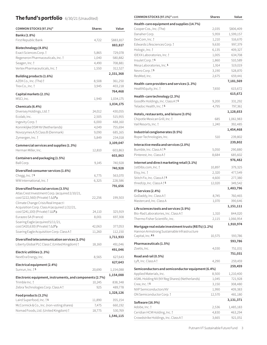# **The fund's portfolio** 6/30/21 (Unaudited)

| COMMON STOCKS (97.1%)*                                                                   | <b>Shares</b> | Value     |
|------------------------------------------------------------------------------------------|---------------|-----------|
| Banks (1.8%)                                                                             |               |           |
| First Republic Bank                                                                      | 4,722         | \$883,817 |
| Biotechnology (4.8%)                                                                     |               | 883,817   |
| Exact Sciences Corp. †                                                                   | 5,865         | 729,078   |
| Regeneron Pharmaceuticals, Inc. †                                                        | 1,040         | 580,882   |
| Seagen, Inc. †                                                                           | 4,490         | 708,881   |
| Vertex Pharmaceuticals, Inc. 1                                                           | 1,550         | 312,527   |
|                                                                                          |               | 2,331,368 |
| Building products (1.6%)                                                                 |               |           |
| AZEK Co., Inc. (The) t                                                                   | 8,508         | 361,250   |
| Trex Co., Inc. †                                                                         | 3,945         | 403,218   |
| Capital markets (2.1%)                                                                   |               | 764,468   |
| MSCI, Inc.                                                                               | 1,940         | 1,034,175 |
| Chemicals (6.4%)                                                                         |               | 1,034,175 |
| Diversey Holdings, Ltd.                                                                  | 24,012        | 430,055   |
| Ecolab, Inc.                                                                             | 2,505         | 515,955   |
| Ingevity Corp. †                                                                         | 6,000         | 488,160   |
| Koninklijke DSM NV (Netherlands)                                                         | 4,049         | 755,694   |
| Novozymes A/S Class B (Denmark)                                                          | 9,090         | 685,165   |
| Zymergen, Inc. †                                                                         | 5,849         | 234,018   |
|                                                                                          |               | 3,109,047 |
| Commercial services and supplies (1.3%)                                                  |               |           |
| Herman Miller, Inc.                                                                      | 12,810        | 603,863   |
| Containers and packaging (1.5%)                                                          |               | 603,863   |
| Ball Corp.                                                                               | 9,145         | 740,928   |
| Diversified consumer services (1.6%)                                                     |               | 740,928   |
| Chegg, Inc. † S                                                                          | 6,775         | 563,070   |
| WW International, Inc. 1                                                                 | 6,325         | 228,586   |
|                                                                                          |               | 791,656   |
| Diversified financial services (3.5%)<br>Atlas Crest Investment Corp. (acquired 2/10/21, |               |           |
| cost \$222,560) (Private) † ∆∆F p                                                        | 22,256        | 199,503   |
| Climate Change Crisis Real Impact I                                                      |               |           |
| Acquisition Corp. Class A (acquired 1/22/21,                                             |               |           |
| cost \$241,100) (Private) † ∆∆Fp                                                         | 24,110        | 325,919   |
| Eurazeo SA (France)                                                                      | 8,001         | 697,308   |
| Soaring Eagle (acquired 5/11/21,                                                         |               |           |
| cost \$420,630) (Private) † ∆∆Fp                                                         | 42,063        | 377,053   |
| Soaring Eagle Acquisition Corp. Class A †                                                | 11,260        | 112,150   |
| Diversified telecommunication services (1.0%)                                            |               | 1,711,933 |
| Liberty Global PLC Class C (United Kingdom) †                                            | 18,160        | 491,046   |
| Electric utilities (1.3%)                                                                |               | 491,046   |
| NextEra Energy, Inc.                                                                     | 8,565         | 627,643   |
|                                                                                          |               | 627,643   |
| Electrical equipment (2.4%)                                                              |               |           |
| Sunrun, Inc. † S                                                                         | 20,690        | 1,154,088 |
| Electronic equipment, instruments, and components (2.7%)                                 |               | 1,154,088 |
| Trimble Inc. t                                                                           | 10,245        | 838,348   |
| Zebra Technologies Corp. Class A <sup>+</sup>                                            | 925           | 489,778   |
| Food products (3.2%)                                                                     |               | 1,328,126 |
| Laird Superfood, Inc.   S                                                                | 11,890        | 355,154   |
| McCormick & Co., Inc. (non-voting shares)                                                | 7,475         | 660,192   |
| Nomad Foods, Ltd. (United Kingdom) †                                                     | 18,775        | 530,769   |
|                                                                                          |               | 1,546,115 |

| COMMON STOCKS (97.1%)* cont.                                       | <b>Shares</b> | Value     |
|--------------------------------------------------------------------|---------------|-----------|
| Health-care equipment and supplies (14.7%)                         |               |           |
| Cooper Cos., Inc. (The)                                            | 2,035         | \$806,409 |
| Danaher Corp.                                                      | 5,959         | 1,599,157 |
| DexCom, Inc. †                                                     | 1,210         | 516,670   |
| Edwards Lifesciences Corp. †                                       | 9,630         | 997,379   |
| Hologic, Inc. †                                                    | 6,135         | 409,327   |
| IDEXX Laboratories, Inc. †                                         | 1,005         | 634,708   |
| Insulet Corp. † S                                                  | 1,860         | 510,589   |
| Mesa Laboratories, Inc. S                                          | 1,914         | 519,019   |
| Nevro Corp. † S                                                    | 3,190         | 528,870   |
| ResMed, Inc.                                                       | 2,675         | 659,441   |
| Health-care providers and services (1.3%)                          |               | 7,181,569 |
| HealthEquity, Inc. 1                                               | 7,650         | 615,672   |
| Health-care technology (2.3%)                                      |               | 615,672   |
| GoodRx Holdings, Inc. Class A   S                                  | 9,200         | 331,292   |
| Teladoc Health, Inc. † S                                           | 4,795         | 797,361   |
|                                                                    |               | 1,128,653 |
| Hotels, restaurants, and leisure (3.0%)                            |               |           |
| Chipotle Mexican Grill, Inc. 1                                     | 685           | 1,061,983 |
| Vail Resorts, Inc. †                                               | 1,240         | 392,485   |
| Industrial conglomerates (0.5%)                                    |               | 1,454,468 |
| Roper Technologies, Inc.                                           | 510           | 239,802   |
| Interactive media and services (2.0%)                              |               | 239,802   |
| Bumble, Inc. Class A   S                                           | 5,050         | 290,880   |
| Pinterest, Inc. Class A †                                          | 8,684         | 685,602   |
|                                                                    |               | 976,482   |
| Internet and direct marketing retail (3.1%)<br>1stDibs.com, Inc. † | 10,897        | 379,325   |
| Etsy, Inc. †                                                       | 2,320         | 477,549   |
| Stitch Fix, Inc. Class A   S                                       | 4,600         | 277,380   |
| thredUp, Inc. Class A   S                                          | 12,020        | 349,542   |
|                                                                    |               | 1,483,796 |
| IT Services (2.4%)                                                 |               |           |
| GoDaddy, Inc. Class A <sup>+</sup>                                 | 8,745         | 760,465   |
| Mastercard, Inc. Class A                                           | 1,070         | 390,646   |
| Life sciences tools and services (3.9%)                            |               | 1,151,111 |
| Bio-Rad Laboratories, Inc. Class A                                 | 1,310         | 844,020   |
| Thermo Fisher Scientific, Inc.                                     | 2,115         | 1,066,954 |
| Mortgage real estate investment trusts (REITs) (1.2%)              |               | 1,910,974 |
| Hannon Armstrong Sustainable Infrastructure                        |               |           |
| Capital, Inc. RS                                                   | 10,575        | 593,786   |
| Pharmaceuticals (1.5%)                                             |               | 593,786   |
| Zoetis, Inc.                                                       | 4,030         | 751,031   |
|                                                                    |               | 751,031   |
| Road and rail (0.5%)                                               |               |           |
| Lyft, Inc. Class A †                                               | 4,290         | 259,459   |
| Semiconductors and semiconductor equipment (6.4%)                  |               | 259,459   |
| Applied Materials, Inc.                                            | 8,500         | 1,210,400 |
| ASML Holding NV (NY Reg Shares) (Netherlands)                      | 1,045         | 721,928   |
| Cree, Inc. $\dagger$ S                                             | 3,150         | 308,480   |
| NXP Semiconductors NV                                              | 1,990         | 409,383   |
| ON Semiconductor Corp. †                                           | 12,570        | 481,180   |
| Software (16.9%)                                                   |               | 3,131,371 |
| Adobe, Inc. †                                                      | 2,536         | 1,485,183 |
| Ceridian HCM Holding, Inc. 1                                       | 4,830         | 463,294   |
| Crowdstrike Holdings, Inc. Class A +                               | 3,665         | 921,051   |
|                                                                    |               |           |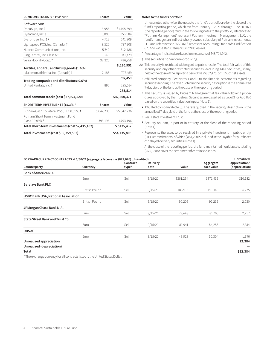| COMMON STOCKS (97.1%)* cont.                    | <b>Shares</b> | Value        |
|-------------------------------------------------|---------------|--------------|
| Software cont.                                  |               |              |
| DocuSign, Inc. †                                | 3,955         | \$1,105,699  |
| Dynatrace, Inc. +                               | 18,086        | 1,056,584    |
| Everbridge, Inc. † S                            | 4,712         | 641,209      |
| Lightspeed POS, Inc. (Canada) †                 | 9,525         | 797,208      |
| Nuance Communications, Inc. 1                   | 5,740         | 312,486      |
| RingCentral, Inc. Class A 1                     | 3,240         | 941,479      |
| Verra Mobility Corp. †                          | 32,320        | 496,758      |
| Textiles, apparel, and luxury goods (1.6%)      |               | 8,220,951    |
| lululemon athletica, Inc. (Canada) †            | 2,185         | 797,459      |
| Trading companies and distributors (0.6%)       |               | 797,459      |
| United Rentals, Inc. 1                          | 895           | 285,514      |
|                                                 |               | 285,514      |
| Total common stocks (cost \$27,924,120)         |               | \$47,300,371 |
| SHORT-TERM INVESTMENTS (15.3%)*                 | <b>Shares</b> | Value        |
| Putnam Cash Collateral Pool, LLC 0.09% d        | 5,642,236     | \$5,642,236  |
| Putnam Short Term Investment Fund               |               |              |
| Class $P$ 0.09% $L$                             | 1,793,196     | 1,793,196    |
| Total short-term investments (cost \$7,435,432) |               | \$7,435,432  |
| Total investments (cost \$35,359,552)           |               | \$54,735,803 |

#### **Notes to the fund's portfolio**

Unless noted otherwise, the notes to the fund's portfolio are for the close of the fund's reporting period, which ran from January 1, 2021 through June 30 2021 (the reporting period). Within the following notes to the portfolio, references to "Putnam Management" represent Putnam Investment Management, LLC, the fund's manager, an indirect wholly-owned subsidiary of Putnam Investments, LLC and references to "ASC 820" represent Accounting Standards Codification 820 *Fair Value Measurements and Disclosures*.

- \* Percentages indicated are based on net assets of \$48,714,942.
- † This security is non-income-producing.
- ∆∆ This security is restricted with regard to public resale. The total fair value of this security and any other restricted securities (excluding 144A securities), if any, held at the close of the reporting period was \$902,475, or 1.9% of net assets.
- **<sup>d</sup>** Affiliated company. See Notes 1 and 5 to the financial statements regarding securities lending. The rate quoted in the security description is the annualized 7-day yield of the fund at the close of the reporting period.
- **<sup>F</sup>** This security is valued by Putnam Management at fair value following procedures approved by the Trustees. Securities are classified as Level 3 for ASC 820 based on the securities' valuation inputs (Note 1).
- **<sup>L</sup>** Affiliated company (Note 5). The rate quoted in the security description is the annualized 7-day yield of the fund at the close of the reporting period.
- **<sup>R</sup>** Real Estate Investment Trust.
- **<sup>S</sup>** Security on loan, in part or in entirety, at the close of the reporting period (Note 1).
- <sup>ƥ</sup> Represents the asset to be received in a private investment in public entity (PIPE) commitments, of which \$884,290 is included in the Payable for purchases of delayed delivery securities (Note 1).

At the close of the reporting period, the fund maintained liquid assets totaling \$420,630 to cover the settlement of certain securities.

| FORWARD CURRENCY CONTRACTS at 6/30/21 (aggregate face value \$871,076) (Unaudited) |                      |          |                 |           | Unrealized |                |
|------------------------------------------------------------------------------------|----------------------|----------|-----------------|-----------|------------|----------------|
|                                                                                    |                      | Contract | <b>Delivery</b> |           | Aggregate  | appreciation/  |
| Counterparty                                                                       | Currency             | type*    | date            | Value     | face value | (depreciation) |
| Bank of America N.A.                                                               |                      |          |                 |           |            |                |
|                                                                                    | Euro                 | Sell     | 9/15/21         | \$361,254 | \$371,436  | \$10,182       |
| <b>Barclays Bank PLC</b>                                                           |                      |          |                 |           |            |                |
|                                                                                    | <b>British Pound</b> | Sell     | 9/15/21         | 186,915   | 191,140    | 4,225          |
| HSBC Bank USA, National Association                                                |                      |          |                 |           |            |                |
|                                                                                    | <b>British Pound</b> | Sell     | 9/15/21         | 90,206    | 92,236     | 2,030          |
| JPMorgan Chase Bank N.A.                                                           |                      |          |                 |           |            |                |
|                                                                                    | Euro                 | Sell     | 9/15/21         | 79,448    | 81,705     | 2,257          |
| State Street Bank and Trust Co.                                                    |                      |          |                 |           |            |                |
|                                                                                    | Euro                 | Sell     | 9/15/21         | 81,941    | 84,255     | 2,314          |
| <b>UBSAG</b>                                                                       |                      |          |                 |           |            |                |
|                                                                                    | Euro                 | Sell     | 9/15/21         | 48,928    | 50,304     | 1,376          |
| Unrealized appreciation                                                            |                      |          |                 |           |            | 22,384         |
| Unrealized (depreciation)                                                          |                      |          |                 |           |            |                |
| Total                                                                              |                      |          |                 |           |            | \$22,384       |

\* The exchange currency for all contracts listed is the United States Dollar.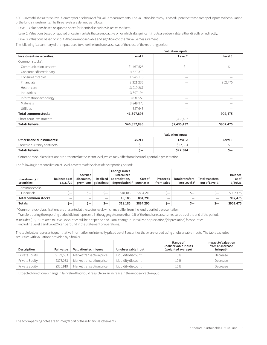ASC 820 establishes a three-level hierarchy for disclosure of fair value measurements. The valuation hierarchy is based upon the transparency of inputs to the valuation of the fund's investments. The three levels are defined as follows:

Level 1: Valuations based on quoted prices for identical securities in active markets.

Level 2: Valuations based on quoted prices in markets that are not active or for which all significant inputs are observable, either directly or indirectly.

Level 3: Valuations based on inputs that are unobservable and significant to the fair value measurement.

The following is a summary of the inputs used to value the fund's net assets as of the close of the reporting period:

| <b>Valuation inputs</b>    |                          |                          |           |
|----------------------------|--------------------------|--------------------------|-----------|
| Investments in securities: | Level 1                  | Level 2                  | Level 3   |
| Common stocks*:            |                          |                          |           |
| Communication services     | \$1,467,528              | $S-$                     | $S-$      |
| Consumer discretionary     | 4,527,379                |                          |           |
| Consumer staples           | 1,546,115                |                          |           |
| <b>Financials</b>          | 3,321,236                |                          | 902,475   |
| Health care                | 13,919,267               | $\overline{\phantom{0}}$ |           |
| Industrials                | 3,307,194                |                          |           |
| Information technology     | 13,831,559               |                          |           |
| Materials                  | 3,849,975                |                          |           |
| <b>Utilities</b>           | 627,643                  |                          |           |
| <b>Total common stocks</b> | 46,397,896               |                          | 902,475   |
| Short-term investments     | $\overline{\phantom{a}}$ | 7,435,432                |           |
| Totals by level            | \$46,397,896             | \$7,435,432              | \$902,475 |

|                              | Valuation inputs |          |         |
|------------------------------|------------------|----------|---------|
| Other financial instruments: | Level 1          | Level 2  | Level 3 |
| Forward currency contracts   | $\sim$           | \$22,384 |         |
| Totals by level              |                  | \$22,384 |         |

\* Common stock classifications are presented at the sector level, which may differ from the fund's portfolio presentation.

The following is a reconciliation of Level 3 assets as of the close of the reporting period:

| Investments in<br>securities: | Balance as of<br>12/31/20 | Accrued<br>discounts/ | Realized | Change in net<br>unrealized<br>appreciation/<br>premiums $\left  \right $ gain/(loss) (depreciation) <sup>#</sup> | Cost of<br>purchases | Proceeds<br>from sales   | <b>Total transfers</b><br>into Level $3^{\dagger}$ | <b>Total transfers</b><br>out of Level 3 <sup>t</sup> | Balance<br>as of<br>6/30/21 |
|-------------------------------|---------------------------|-----------------------|----------|-------------------------------------------------------------------------------------------------------------------|----------------------|--------------------------|----------------------------------------------------|-------------------------------------------------------|-----------------------------|
| Common stocks*:               |                           |                       |          |                                                                                                                   |                      |                          |                                                    |                                                       |                             |
| <b>Financials</b>             | \—                        | s—                    | \—       | \$18,185                                                                                                          | \$884,290            | $\overline{\phantom{0}}$ | $\overline{\phantom{0}}$                           | $\sim$                                                | \$902,475                   |
| Total common stocks           |                           | —                     |          | 18,185                                                                                                            | 884,290              |                          |                                                    | –                                                     | 902,475                     |
| <b>Totals</b>                 | $\sim$ $ \sim$            | 5—                    | \—       | \$18,185                                                                                                          | \$884,290            | $\sim$                   | $\sim$                                             | 5—                                                    | \$902,475                   |

\*Common stock classifications are presented at the sector level, which may differ from the fund's portfolio presentation.

†Transfers during the reporting period did not represent, in the aggregate, more than 1% of the fund's net assets measured as of the end of the period.

#Includes \$18,185 related to Level 3 securities still held at period end. Total change in unrealized appreciation/(depreciation) for securities

(including Level 1 and Level 2) can be found in the Statement of operations.

The table below represents quantitative information on internally priced Level 3 securities that were valued using unobservable inputs. The table excludes securities with valuations provided by a broker.

| Description    | <b>Fair value</b> | Valuation techniques     | Unobservable input | Range of<br>unobservable inputs<br>(weighted average) | Impact to Valuation<br>from an increase<br>in input <sup>1</sup> |
|----------------|-------------------|--------------------------|--------------------|-------------------------------------------------------|------------------------------------------------------------------|
| Private Equity | \$199.503         | Market transaction price | Liquidity discount | 10%                                                   | Decrease                                                         |
| Private Equity | \$377.053         | Market transaction price | Liquidity discount | 10%                                                   | Decrease                                                         |
| Private equity | \$325.919         | Market transaction price | Liquidity discount | 10%                                                   | Decrease                                                         |

1 Expected directional change in fair value that would result from an increase in the unobservable input.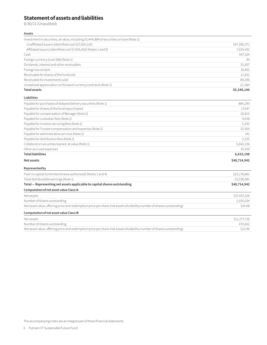# **Statement of assets and liabilities**

6/30/21 (Unaudited)

#### **Assets**

| Investment in securities, at value, including \$5,444,884 of securities on loan (Note 1):                           |              |
|---------------------------------------------------------------------------------------------------------------------|--------------|
| Unaffiliated issuers (identified cost \$27,924,120)                                                                 | \$47,300,371 |
| Affiliated issuers (identified cost \$7,435,432) (Notes 1 and 5)                                                    | 7,435,432    |
| Cash                                                                                                                | 447,324      |
| Foreign currency (cost \$96) (Note 1)                                                                               | 94           |
| Dividends, interest and other receivables                                                                           | 31,007       |
| Foreign tax reclaim                                                                                                 | 10,401       |
| Receivable for shares of the fund sold                                                                              | 11,831       |
| Receivable for investments sold                                                                                     | 89,296       |
| Unrealized appreciation on forward currency contracts (Note 1)                                                      | 22,384       |
| <b>Total assets</b>                                                                                                 | 55,348,140   |
| <b>Liabilities</b>                                                                                                  |              |
| Payable for purchases of delayed delivery securities (Note 1)                                                       | 884,290      |
| Payable for shares of the fund repurchased                                                                          | 17,047       |
| Payable for compensation of Manager (Note 2)                                                                        | 20,815       |
| Payable for custodian fees (Note 2)                                                                                 | 9,038        |
| Payable for investor servicing fees (Note 2)                                                                        | 5,332        |
| Payable for Trustee compensation and expenses (Note 2)                                                              | 32,505       |
| Payable for administrative services (Note 2)                                                                        | 141          |
| Payable for distribution fees (Note 2)                                                                              | 2,235        |
| Collateral on securities loaned, at value (Note 1)                                                                  | 5,642,236    |
| Other accrued expenses                                                                                              | 19,559       |
| <b>Total liabilities</b>                                                                                            | 6,633,198    |
| Net assets                                                                                                          | \$48,714,942 |
| Represented by                                                                                                      |              |
| Paid-in capital (Unlimited shares authorized) (Notes 1 and 4)                                                       | \$25,178,861 |
| Total distributable earnings (Note 1)                                                                               | 23,536,081   |
| Total - Representing net assets applicable to capital shares outstanding                                            | \$48,714,942 |
| Computation of net asset value Class IA                                                                             |              |
| Net assets                                                                                                          | \$37,437,226 |
| Number of shares outstanding                                                                                        | 1,555,024    |
| Net asset value, offering price and redemption price per share (net assets divided by number of shares outstanding) | \$24.08      |
| Computation of net asset value Class IB                                                                             |              |
| Net assets                                                                                                          | \$11,277,716 |
| Number of shares outstanding                                                                                        | 470,662      |

Net asset value, offering price and redemption price per share (net assets divided by number of shares outstanding) \$23.96

The accompanying notes are an integral part of these financial statements.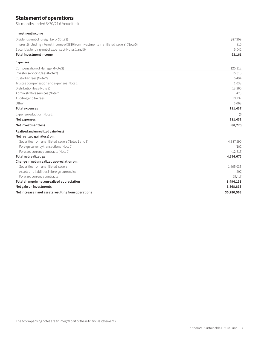# **Statement of operations**

Six months ended 6/30/21 (Unaudited)

| Investment income |  |
|-------------------|--|
|-------------------|--|

| Investment income                                                                             |             |
|-----------------------------------------------------------------------------------------------|-------------|
| Dividends (net of foreign tax of \$5,173)                                                     | \$87,309    |
| Interest (including interest income of \$810 from investments in affiliated issuers) (Note 5) | 810         |
| Securities lending (net of expenses) (Notes 1 and 5)                                          | 5,042       |
| Total investment income                                                                       | 93,161      |
| <b>Expenses</b>                                                                               |             |
| Compensation of Manager (Note 2)                                                              | 125,112     |
| Investor servicing fees (Note 2)                                                              | 16,315      |
| Custodian fees (Note 2)                                                                       | 5,494       |
| Trustee compensation and expenses (Note 2)                                                    | 1,033       |
| Distribution fees (Note 2)                                                                    | 13,260      |
| Administrative services (Note 2)                                                              | 423         |
| Auditing and tax fees                                                                         | 13,732      |
| Other                                                                                         | 6,068       |
| <b>Total expenses</b>                                                                         | 181,437     |
| Expense reduction (Note 2)                                                                    | (6)         |
| <b>Net expenses</b>                                                                           | 181,431     |
| Net investment loss                                                                           | (88, 270)   |
| Realized and unrealized gain (loss)                                                           |             |
| Net realized gain (loss) on:                                                                  |             |
| Securities from unaffiliated issuers (Notes 1 and 3)                                          | 4,387,590   |
| Foreign currency transactions (Note 1)                                                        | (102)       |
| Forward currency contracts (Note 1)                                                           | (12, 813)   |
| Total net realized gain                                                                       | 4,374,675   |
| Change in net unrealized appreciation on:                                                     |             |
| Securities from unaffiliated issuers                                                          | 1,465,033   |
| Assets and liabilities in foreign currencies                                                  | (292)       |
| Forward currency contracts                                                                    | 29,417      |
| Total change in net unrealized appreciation                                                   | 1,494,158   |
| Net gain on investments                                                                       | 5,868,833   |
| Net increase in net assets resulting from operations                                          | \$5,780,563 |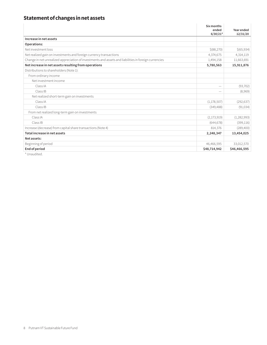# **Statement of changes in net assets**

|                                                                                                       | Six months<br>ended<br>$6/30/21*$ | Year ended<br>12/31/20 |
|-------------------------------------------------------------------------------------------------------|-----------------------------------|------------------------|
| Increase in net assets                                                                                |                                   |                        |
| Operations:                                                                                           |                                   |                        |
| Net investment loss                                                                                   | \$ (88, 270)                      | \$ (65,934)            |
| Net realized gain on investments and foreign currency transactions                                    | 4,374,675                         | 4,314,119              |
| Change in net unrealized appreciation of investments and assets and liabilities in foreign currencies | 1,494,158                         | 11,663,691             |
| Net increase in net assets resulting from operations                                                  | 5,780,563                         | 15,911,876             |
| Distributions to shareholders (Note 1):                                                               |                                   |                        |
| From ordinary income                                                                                  |                                   |                        |
| Net investment income                                                                                 |                                   |                        |
| Class IA                                                                                              | $\overline{\phantom{a}}$          | (93, 702)              |
| Class IB                                                                                              |                                   | (8,969)                |
| Net realized short-term gain on investments                                                           |                                   |                        |
| Class IA                                                                                              | (1, 178, 507)                     | (292, 637)             |
| Class IB                                                                                              | (349, 488)                        | (91, 034)              |
| From net realized long-term gain on investments                                                       |                                   |                        |
| Class IA                                                                                              | (2, 173, 919)                     | (1, 282, 993)          |
| Class IB                                                                                              | (644, 678)                        | (399, 116)             |
| Increase (decrease) from capital share transactions (Note 4)                                          | 814,376                           | (289, 400)             |
| Total increase in net assets                                                                          | 2,248,347                         | 13,454,025             |
| Net assets:                                                                                           |                                   |                        |
| Beginning of period                                                                                   | 46,466,595                        | 33,012,570             |
| End of period                                                                                         | \$48,714,942                      | \$46,466,595           |

\* Unaudited.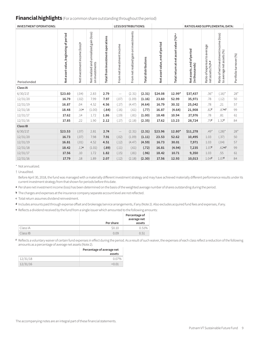### **Financial highlights** (For a common share outstanding throughout the period)

| <b>INVESTMENT OPERATIONS:</b> |                                      |                                           |                                                                   | <b>LESS DISTRIBUTIONS:</b>       |                            | RATIOS AND SUPPLEMENTAL DATA:         |                            |                               |                                        |                                             |                                                  |                                                                    |                       |
|-------------------------------|--------------------------------------|-------------------------------------------|-------------------------------------------------------------------|----------------------------------|----------------------------|---------------------------------------|----------------------------|-------------------------------|----------------------------------------|---------------------------------------------|--------------------------------------------------|--------------------------------------------------------------------|-----------------------|
| Period ended                  | Net asset value, beginning of period | Net investment income (loss) <sup>a</sup> | gain (loss)<br>unrealized<br>and<br>on investments<br>Netrealized | Total from investment operations | From net investment income | From net realized gain on investments | <b>Total distributions</b> | Netasset value, end of period | Total return at net asset value (%)b,c | Net assets, end of period<br>(in thousands) | Ratio of expenses to average<br>netassets (%)b,d | Ratio of net investment income (loss)<br>to average net assets (%) | Portfolioturnover (%) |
| Class IA                      |                                      |                                           |                                                                   |                                  |                            |                                       |                            |                               |                                        |                                             |                                                  |                                                                    |                       |
| 6/30/21                       | \$23.60                              | (.04)                                     | 2.83                                                              | 2.79                             | $\overline{\phantom{m}}$   | (2.31)                                | (2.31)                     | \$24.08                       | 12.99*                                 | \$37,437                                    | $.36*$                                           | $(.16)^*$                                                          | $28*$                 |
| 12/31/20                      | 16.79                                | (.02)                                     | 7.99                                                              | 7.97                             | (.07)                      | (1.09)                                | (1.16)                     | 23.60                         | 52.99                                  | 35,971                                      | .78                                              | (.12)                                                              | 50                    |
| 12/31/19                      | 16.87                                | .04                                       | 4.52                                                              | 4.56                             | (.17)                      | (4.47)                                | (4.64)                     | 16.79                         | 30.32                                  | 25,042                                      | .78                                              | .21                                                                | 57                    |
| 12/31/18                      | 18.48                                | .16e                                      | (1.00)                                                            | (.84)                            | (.16)                      | (.61)                                 | (.77)                      | 16.87                         | (4.64)                                 | 21,908                                      | .82f                                             | $.87e$ ,f                                                          | 99                    |
| 12/31/17                      | 17.62                                | .14                                       | 1.72                                                              | 1.86                             | (.19)                      | (.81)                                 | (1.00)                     | 18.48                         | 10.94                                  | 27,976                                      | .78                                              | .81                                                                | 61                    |
| 12/31/16                      | 17.85                                | .22                                       | 1.90                                                              | 2.12                             | (.17)                      | (2.18)                                | (2.35)                     | 17.62                         | 13.23                                  | 28,724                                      | .79f                                             | 1.32f                                                              | 84                    |
| Class IB                      |                                      |                                           |                                                                   |                                  |                            |                                       |                            |                               |                                        |                                             |                                                  |                                                                    |                       |
| 6/30/21                       | \$23.53                              | (.07)                                     | 2.81                                                              | 2.74                             | $\overline{\phantom{0}}$   | (2.31)                                | (2.31)                     | \$23.96                       | 12.80*                                 | \$11,278                                    | $.49*$                                           | $(.28)^*$                                                          | $28*$                 |
| 12/31/20                      | 16.73                                | (.07)                                     | 7.98                                                              | 7.91                             | (.02)                      | (1.09)                                | (1.11)                     | 23.53                         | 52.62                                  | 10,495                                      | 1.03                                             | (.37)                                                              | 50                    |
| 12/31/19                      | 16.81                                | (.01)                                     | 4.52                                                              | 4.51                             | (.12)                      | (4.47)                                | (4.59)                     | 16.73                         | 30.01                                  | 7,971                                       | 1.03                                             | (.04)                                                              | 57                    |
| 12/31/18                      | 18.42                                | .12e                                      | (1.01)                                                            | (.89)                            | (.11)                      | (.61)                                 | (.72)                      | 16.81                         | (4.94)                                 | 7,235                                       | 1.07f                                            | .62e.f                                                             | 99                    |
| 12/31/17                      | 17.56                                | .10                                       | 1.72                                                              | 1.82                             | (.15)                      | (.81)                                 | (.96)                      | 18.42                         | 10.71                                  | 9,350                                       | 1.03                                             | .55                                                                | 61                    |
| 12/31/16                      | 17.79                                | .18                                       | 1.89                                                              | 2.07                             | (.12)                      | (2.18)                                | (2.30)                     | 17.56                         | 12.93                                  | 10,013                                      | 1.04f                                            | 1.07f                                                              | 84                    |

\* Not annualized.

† Unaudited.

Before April 30, 2018, the fund was managed with a materially different investment strategy and may have achieved materially different performance results under its current investment strategy from that shown for periods before this date.

**<sup>a</sup>** Per share net investment income (loss) has been determined on the basis of the weighted average number of shares outstanding during the period.

**<sup>b</sup>** The charges and expenses at the insurance company separate account level are not reflected.

**<sup>c</sup>** Total return assumes dividend reinvestment.

**<sup>d</sup>** Includes amounts paid through expense offset and brokerage/service arrangements, if any (Note 2). Also excludes acquired fund fees and expenses, if any.

**<sup>e</sup>** Reflects a dividend received by the fund from a single issuer which amounted to the following amounts:

|          | <b>Per share</b> | Percentage of<br>average net<br>assets |
|----------|------------------|----------------------------------------|
| Class IA | \$0.10           | 0.51%                                  |
| Class IB | 0.09             | 0.51                                   |

**<sup>f</sup>** Reflects a voluntary waiver of certain fund expenses in effect during the period. As a result of such waiver, the expenses of each class reflect a reduction of the following amounts as a percentage of average net assets (Note 2).

|          | Percentage of average net |  |  |
|----------|---------------------------|--|--|
|          | assets                    |  |  |
| 12/31/18 | $0.07\%$                  |  |  |
| 12/31/16 | <∩ ∩1                     |  |  |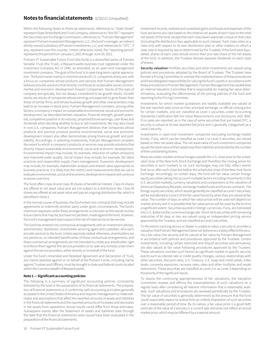### **Notes to financial statements** 6/30/21 (Unaudited)

Within the following Notes to financial statements, references to "State Street" represent State Street Bank and Trust Company, references to "the SEC" represent the Securities and Exchange Commission, references to "Putnam Management" represent Putnam Investment Management, LLC, the fund's manager, an indirect wholly-owned subsidiary of Putnam Investments, LLC and references to "OTC", if any, represent over-the-counter. Unless otherwise noted, the "reporting period" represents the period from January 1, 2021 through June 30, 2021.

Putnam VT Sustainable Future Fund (the fund) is a diversified series of Putnam Variable Trust (the Trust), a Massachusetts business trust registered under the Investment Company Act of 1940, as amended, as an open-end management investment company. The goal of the fund is to seek long-term capital appreciation. The fund invests mainly in common stocks of U.S. companies of any size, with a focus on companies whose products and services that Putnam Management believes provide solutions that directly contribute to sustainable social, environmental and economic development (Impact Companies). Stocks of this type of company are typically, but not always, considered to be growth stocks. Growth stocks are stocks of companies whose earnings are expected to grow faster than those of similar firms, and whose business growth and other characteristics may lead to an increase in stock price. Putnam Management considers, among other factors, a company's impact on sustainable environmental, social and economic development (as described below), valuation, financial strength, growth potential, competitive position in its industry, projected future earnings, cash flows and dividends when deciding whether to buy or sell investments. We may also invest in non-U.S. companies. Putnam Management believes that companies whose products and services produce positive environmental, social and economic development impact also often demonstrate strong financial growth and profitability. Accordingly, in selecting investments, Putnam Management considers the extent to which a company's products or services may provide solutions that directly impact sustainable environmental, social and economic development. Environmental impact may include, for example, reduction of carbon emissions and improved water quality. Social impact may include, for example, fair labor practices and responsible supply chain management. Economic development may include, for example, stakeholder analysis and shared value approaches to business practices. It is likely that the metrics and measurements that we use to evaluate environmental, social and economic development impacts will continue to evolve over time.

The fund offers class IA and class IB shares of beneficial interest. Class IA shares are offered at net asset value and are not subject to a distribution fee. Class IB shares are offered at net asset value and pay an ongoing distribution fee, which is identified in Note 2.

In the normal course of business, the fund enters into contracts that may include agreements to indemnify another party under given circumstances. The fund's maximum exposure under these arrangements is unknown as this would involve future claims that may be, but have not yet been, made against the fund. However, the fund's management team expects the risk of material loss to be remote.

The fund has entered into contractual arrangements with an investment adviser, administrator, distributor, shareholder servicing agent and custodian, who each provide services to the fund. Unless expressly stated otherwise, shareholders are not parties to, or intended beneficiaries of these contractual arrangements, and these contractual arrangements are not intended to create any shareholder right to enforce them against the service providers or to seek any remedy under them against the service providers, either directly or on behalf of the fund.

Under the fund's Amended and Restated Agreement and Declaration of Trust, any claims asserted against or on behalf of the Putnam Funds, including claims against Trustees and Officers, must be brought in state and federal courts located within the Commonwealth of Massachusetts.

#### **Note 1 — Significant accounting policies**

The following is a summary of significant accounting policies consistently followed by the fund in the preparation of its financial statements. The preparation of financial statements is in conformity with accounting principles generally accepted in the United States of America and requires management to make estimates and assumptions that affect the reported amounts of assets and liabilities in the financial statements and the reported amounts of increases and decreases in net assets from operations. Actual results could differ from those estimates. Subsequent events after the Statement of assets and liabilities date through the date that the financial statements were issued have been evaluated in the preparation of the financial statements.

Investment income, realized and unrealized gains and losses and expenses of the fund are borne pro-rata based on the relative net assets of each class to the total net assets of the fund, except that each class bears expenses unique to that class (including the distribution fees applicable to such classes). Each class votes as a class only with respect to its own distribution plan or other matters on which a class vote is required by law or determined by the Trustees. If the fund were liquidated, shares of each class would receive their pro-rata share of the net assets of the fund. In addition, the Trustees declare separate dividends on each class of shares.

**Security valuation** Portfolio securities and other investments are valued using policies and procedures adopted by the Board of Trustees. The Trustees have formed a Pricing Committee to oversee the implementation of these procedures and have delegated responsibility for valuing the fund's assets in accordance with these procedures to Putnam Management. Putnam Management has established an internal Valuation Committee that is responsible for making fair value determinations, evaluating the effectiveness of the pricing policies of the fund and reporting to the Pricing Committee.

Investments for which market quotations are readily available are valued at the last reported sales price on their principal exchange, or official closing price for certain markets, and are classified as Level 1 securities under Accounting Standards Codification 820 *Fair Value Measurements and Disclosures* (ASC 820). If no sales are reported, as in the case of some securities that are traded OTC, a security is valued at its last reported bid price and is generally categorized as a Level 2 security.

Investments in open-end investment companies (excluding exchange-traded funds), if any, which can be classified as Level 1 or Level 2 securities, are valued based on their net asset value. The net asset value of such investment companies equals the total value of their assets less their liabilities and divided by the number of their outstanding shares.

Many securities markets and exchanges outside the U.S. close prior to the scheduled close of the New York Stock Exchange and therefore the closing prices for securities in such markets or on such exchanges may not fully reflect events that occur after such close but before the scheduled close of the New York Stock Exchange. Accordingly, on certain days, the fund will fair value certain foreign equity securities taking into account multiple factors including movements in the U.S. securities markets, currency valuations and comparisons to the valuation of American Depository Receipts, exchange-traded funds and futures contracts. The foreign equity securities, which would generally be classified as Level 1 securities, will be transferred to Level 2 of the fair value hierarchy when they are valued at fair value. The number of days on which fair value prices will be used will depend on market activity and it is possible that fair value prices will be used by the fund to a significant extent. Securities quoted in foreign currencies, if any, are translated into U.S. dollars at the current exchange rate. Short-term securities with remaining maturities of 60 days or less are valued using an independent pricing service approved by the Trustees, and are classified as Level 2 securities.

To the extent a pricing service or dealer is unable to value a security or provides a valuation that Putnam Management does not believe accurately reflects the security's fair value, the security will be valued at fair value by Putnam Management in accordance with policies and procedures approved by the Trustees. Certain investments, including certain restricted and illiquid securities and derivatives, are also valued at fair value following procedures approved by the Trustees. These valuations consider such factors as significant market or specific security events such as interest rate or credit quality changes, various relationships with other securities, discount rates, U.S. Treasury, U.S. swap and credit yields, index levels, convexity exposures, recovery rates, sales and other multiples and resale restrictions. These securities are classified as Level 2 or as Level 3 depending on the priority of the significant inputs.

To assess the continuing appropriateness of fair valuations, the Valuation Committee reviews and affirms the reasonableness of such valuations on a regular basis after considering all relevant information that is reasonably available. Such valuations and procedures are reviewed periodically by the Trustees. The fair value of securities is generally determined as the amount that the fund could reasonably expect to realize from an orderly disposition of such securities over a reasonable period of time. By its nature, a fair value price is a good faith estimate of the value of a security in a current sale and does not reflect an actual market price, which may be different by a material amount.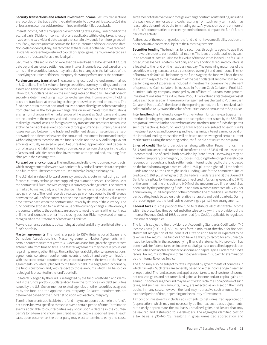**Security transactions and related investment income** Security transactions are recorded on the trade date (the date the order to buy or sell is executed). Gains or losses on securities sold are determined on the identified cost basis.

Interest income, net of any applicable withholding taxes, if any, is recorded on the accrual basis. Dividend income, net of any applicable withholding taxes, is recognized on the ex-dividend date except that certain dividends from foreign securities, if any, are recognized as soon as the fund is informed of the ex-dividend date. Non-cash dividends, if any, are recorded at the fair value of the securities received. Dividends representing a return of capital or capital gains, if any, are reflected as a reduction of cost and/or as a realized gain.

Securities purchased or sold on a delayed delivery basis may be settled at a future date beyond customary settlement time; interest income is accrued based on the terms of the securities. Losses may arise due to changes in the fair value of the underlying securities or if the counterparty does not perform under the contract.

**Foreign currency translation** The accounting records of the fund are maintained in U.S. dollars. The fair value of foreign securities, currency holdings, and other assets and liabilities is recorded in the books and records of the fund after translation to U.S. dollars based on the exchange rates on that day. The cost of each security is determined using historical exchange rates. Income and withholding taxes are translated at prevailing exchange rates when earned or incurred. The fund does not isolate that portion of realized or unrealized gains or losses resulting from changes in the foreign exchange rate on investments from fluctuations arising from changes in the market prices of the securities. Such gains and losses are included with the net realized and unrealized gain or loss on investments. Net realized gains and losses on foreign currency transactions represent net realized exchange gains or losses on disposition of foreign currencies, currency gains and losses realized between the trade and settlement dates on securities transactions and the difference between the amount of investment income and foreign withholding taxes recorded on the fund's books and the U.S. dollar equivalent amounts actually received or paid. Net unrealized appreciation and depreciation of assets and liabilities in foreign currencies arise from changes in the value of assets and liabilities other than investments at the period end, resulting from changes in the exchange rate.

**Forward currency contracts** The fund buys and sells forward currency contracts, which are agreements between two parties to buy and sell currencies at a set price on a future date. These contracts are used to hedge foreign exchange risk.

The U.S. dollar value of forward currency contracts is determined using current forward currency exchange rates supplied by a quotation service. The fair value of the contract will fluctuate with changes in currency exchange rates. The contract is marked to market daily and the change in fair value is recorded as an unrealized gain or loss. The fund records a realized gain or loss equal to the difference between the value of the contract at the time it was opened and the value at the time it was closed when the contract matures or by delivery of the currency. The fund could be exposed to risk if the value of the currency changes unfavorably, if the counterparties to the contracts are unable to meet the terms of their contracts or if the fund is unable to enter into a closing position. Risks may exceed amounts recognized on the Statement of assets and liabilities.

Forward currency contracts outstanding at period end, if any, are listed after the fund's portfolio.

**Master agreements** The fund is a party to ISDA (International Swaps and Derivatives Association, Inc.) Master Agreements (Master Agreements) with certain counterparties that govern OTC derivative and foreign exchange contracts entered into from time to time. The Master Agreements may contain provisions regarding, among other things, the parties' general obligations, representations, agreements, collateral requirements, events of default and early termination. With respect to certain counterparties, in accordance with the terms of the Master Agreements, collateral pledged to the fund is held in a segregated account by the fund's custodian and, with respect to those amounts which can be sold or repledged, is presented in the fund's portfolio.

Collateral pledged by the fund is segregated by the fund's custodian and identified in the fund's portfolio. Collateral can be in the form of cash or debt securities issued by the U.S. Government or related agencies or other securities as agreed to by the fund and the applicable counterparty. Collateral requirements are determined based on the fund's net position with each counterparty.

Termination events applicable to the fund may occur upon a decline in the fund's net assets below a specified threshold over a certain period of time. Termination events applicable to counterparties may occur upon a decline in the counterparty's long-term and short-term credit ratings below a specified level. In each case, upon occurrence, the other party may elect to terminate early and cause

settlement of all derivative and foreign exchange contracts outstanding, including the payment of any losses and costs resulting from such early termination, as reasonably determined by the terminating party. Any decision by one or more of the fund's counterparties to elect early termination could impact the fund's future derivative activity.

At the close of the reporting period, the fund did not have a net liability position on open derivative contracts subject to the Master Agreements**.**

**Securities lending** The fund may lend securities, through its agent, to qualified borrowers in order to earn additional income. The loans are collateralized by cash in an amount at least equal to the fair value of the securities loaned. The fair value of securities loaned is determined daily and any additional required collateral is allocated to the fund on the next business day. The remaining maturities of the securities lending transactions are considered overnight and continuous. The risk of borrower default will be borne by the fund's agent; the fund will bear the risk of loss with respect to the investment of the cash collateral. Income from securities lending, net of expenses, is included in investment income on the Statement of operations. Cash collateral is invested in Putnam Cash Collateral Pool, LLC, a limited liability company managed by an affiliate of Putnam Management. Investments in Putnam Cash Collateral Pool, LLC are valued at its closing net asset value each business day. There are no management fees charged to Putnam Cash Collateral Pool, LLC. At the close of the reporting period, the fund received cash collateral of \$5,642,236 and the value of securities loaned amounted to \$5,444,884.

**Interfund lending** The fund, along with other Putnam funds, may participate in an interfund lending program pursuant to an exemptive order issued by the SEC. This program allows the fund to borrow from or lend to other Putnam funds that permit such transactions. Interfund lending transactions are subject to each fund's investment policies and borrowing and lending limits. Interest earned or paid on the interfund lending transaction will be based on the average of certain current market rates. During the reporting period, the fund did not utilize the program.

**Lines of credit** The fund participates, along with other Putnam funds, in a \$317.5 million unsecured committed line of credit and a \$235.5 million unsecured uncommitted line of credit, both provided by State Street. Borrowings may be made for temporary or emergency purposes, including the funding of shareholder redemption requests and trade settlements. Interest is charged to the fund based on the fund's borrowing at a rate equal to 1.25% plus the higher of (1) the Federal Funds rate and (2) the Overnight Bank Funding Rate for the committed line of credit and 1.30% plus the higher of (1) the Federal Funds rate and (2) the Overnight Bank Funding Rate for the uncommitted line of credit. A closing fee equal to 0.04% of the committed line of credit and 0.04% of the uncommitted line of credit has been paid by the participating funds. In addition, a commitment fee of 0.21% per annum on any unutilized portion of the committed line of credit is allocated to the participating funds based on their relative net assets and paid quarterly. During the reporting period, the fund had no borrowings against these arrangements.

**Federal taxes** It is the policy of the fund to distribute all of its taxable income within the prescribed time period and otherwise comply with the provisions of the Internal Revenue Code of 1986, as amended (the Code), applicable to regulated investment companies.

The fund is subject to the provisions of Accounting Standards Codification 740 *Income Taxes* (ASC 740). ASC 740 sets forth a minimum threshold for financial statement recognition of the benefit of a tax position taken or expected to be taken in a tax return. The fund did not have a liability to record for any unrecognized tax benefits in the accompanying financial statements. No provision has been made for federal taxes on income, capital gains or unrealized appreciation on securities held nor for excise tax on income and capital gains. Each of the fund's federal tax returns for the prior three fiscal years remains subject to examination by the Internal Revenue Service.

The fund may also be subject to taxes imposed by governments of countries in which it invests. Such taxes are generally based on either income or gains earned or repatriated. The fund accrues and applies such taxes to net investment income, net realized gains and net unrealized gains as income and/or capital gains are earned. In some cases, the fund may be entitled to reclaim all or a portion of such taxes, and such reclaim amounts, if any, are reflected as an asset on the fund's books. In many cases, however, the fund may not receive such amounts for an extended period of time, depending on the country of investment.

Tax cost of investments includes adjustments to net unrealized appreciation (depreciation) which may not necessarily be final tax cost basis adjustments, but closely approximate the tax basis unrealized gains and losses that may be realized and distributed to shareholders. The aggregate identified cost on a tax basis is \$35,440,723, resulting in gross unrealized appreciation and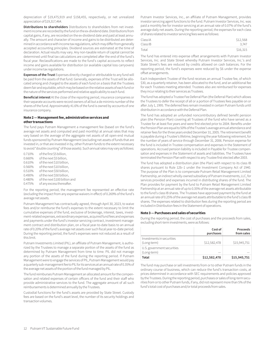depreciation of \$19,475,919 and \$158,455, respectively, or net unrealized appreciation of \$19,317,464.

**Distributions to shareholders** Distributions to shareholders from net investment income are recorded by the fund on the ex-dividend date. Distributions from capital gains, if any, are recorded on the ex-dividend date and paid at least annually. The amount and character of income and gains to be distributed are determined in accordance with income tax regulations, which may differ from generally accepted accounting principles. Dividend sources are estimated at the time of declaration. Actual results may vary. Any non-taxable return of capital cannot be determined until final tax calculations are completed after the end of the fund's fiscal year. Reclassifications are made to the fund's capital accounts to reflect income and gains available for distribution (or available capital loss carryovers) under income tax regulations.

**Expenses of the Trust** Expenses directly charged or attributable to any fund will be paid from the assets of that fund. Generally, expenses of the Trust will be allocated among and charged to the assets of each fund on a basis that the Trustees deem fair and equitable, which may be based on the relative assets of each fund or the nature of the services performed and relative applicability to each fund.

**Beneficial interest** At the close of the reporting period, insurance companies or their separate accounts were record owners of all but a de minimis number of the shares of the fund. Approximately 41.6% of the fund is owned by accounts of one insurance company.

#### **Note 2 — Management fee, administrative services and other transactions**

The fund pays Putnam Management a management fee (based on the fund's average net assets and computed and paid monthly) at annual rates that may vary based on the average of the aggregate net assets of all open-end mutual funds sponsored by Putnam Management (excluding net assets of funds that are invested in, or that are invested in by, other Putnam funds to the extent necessary to avoid "double counting" of those assets). Such annual rates may vary as follows:

0.710% of the first \$5 billion, 0.660% of the next \$5 billion,<br>0.610% of the next \$10 billion of the next \$10 billion. 0.560% of the next \$10 billion, 0.510% of the next \$50 billion, 0.490% of the next \$50 billion, 0.480% of the next \$100 billion and 0.475% of any excess thereafter.

For the reporting period, the management fee represented an effective rate (excluding the impact from any expense waivers in effect) of 0.269% of the fund's average net assets.

Putnam Management has contractually agreed, through April 30, 2023, to waive fees and/or reimburse the fund's expenses to the extent necessary to limit the cumulative expenses of the fund, exclusive of brokerage, interest, taxes, investment-related expenses, extraordinary expenses, acquired fund fees and expenses and payments under the fund's investor servicing contract, investment management contract and distribution plan, on a fiscal year-to-date basis to an annual rate of 0.20% of the fund's average net assets over such fiscal year-to-date period. During the reporting period, the fund's expenses were not reduced as a result of this limit.

Putnam Investments Limited (PIL), an affiliate of Putnam Management, is authorized by the Trustees to manage a separate portion of the assets of the fund as determined by Putnam Management from time to time. PIL did not manage any portion of the assets of the fund during the reporting period. If Putnam Management were to engage the services of PIL, Putnam Management would pay a quarterly sub-management fee to PIL for its services at an annual rate of 0.35% of the average net assets of the portion of the fund managed by PIL.

The fund reimburses Putnam Management an allocated amount for the compensation and related expenses of certain officers of the fund and their staff who provide administrative services to the fund. The aggregate amount of all such reimbursements is determined annually by the Trustees.

Custodial functions for the fund's assets are provided by State Street. Custody fees are based on the fund's asset level, the number of its security holdings and transaction volumes.

Putnam Investor Services, Inc., an affiliate of Putnam Management, provides investor servicing agent functions to the fund. Putnam Investor Services, Inc. was paid a monthly fee for investor servicing at an annual rate of 0.07% of the fund's average daily net assets. During the reporting period, the expenses for each class of shares related to investor servicing fees were as follows:

| Class IA | \$12,568 |
|----------|----------|
| Class IB | 3.747    |
| Total    | \$16,315 |

The fund has entered into expense offset arrangements with Putnam Investor Services, Inc. and State Street whereby Putnam Investor Services, Inc.'s and State Street's fees are reduced by credits allowed on cash balances. For the reporting period, the fund's expenses were reduced by \$6 under the expense offset arrangements.

Each Independent Trustee of the fund receives an annual Trustee fee, of which \$30, as a quarterly retainer, has been allocated to the fund, and an additional fee for each Trustees meeting attended. Trustees also are reimbursed for expenses they incur relating to their services as Trustees.

The fund has adopted a Trustee Fee Deferral Plan (the Deferral Plan) which allows the Trustees to defer the receipt of all or a portion of Trustees fees payable on or after July 1, 1995. The deferred fees remain invested in certain Putnam funds until distribution in accordance with the Deferral Plan.

The fund has adopted an unfunded noncontributory defined benefit pension plan (the Pension Plan) covering all Trustees of the fund who have served as a Trustee for at least five years and were first elected prior to 2004. Benefits under the Pension Plan are equal to 50% of the Trustee's average annual attendance and retainer fees for the three years ended December 31, 2005. The retirement benefit is payable during a Trustee's lifetime, beginning the year following retirement, for the number of years of service through December 31, 2006. Pension expense for the fund is included in Trustee compensation and expenses in the Statement of operations. Accrued pension liability is included in Payable for Trustee compensation and expenses in the Statement of assets and liabilities. The Trustees have terminated the Pension Plan with respect to any Trustee first elected after 2003.

The fund has adopted a distribution plan (the Plan) with respect to its class IB shares pursuant to Rule 12b–1 under the Investment Company Act of 1940. The purpose of the Plan is to compensate Putnam Retail Management Limited Partnership, an indirect wholly-owned subsidiary of Putnam Investments, LLC, for services provided and expenses incurred in distributing shares of the fund. The Plan provides for payment by the fund to Putnam Retail Management Limited Partnership at an annual rate of up to 0.35% of the average net assets attributable to the fund's class IB shares. The Trustees have approved payment by the fund at an annual rate of 0.25% of the average net assets attributable to the fund's class IB shares. The expenses related to distribution fees during the reporting period are included in Distribution fees in the Statement of operations.

#### **Note 3 — Purchases and sales of securities**

During the reporting period, the cost of purchases and the proceeds from sales, excluding short-term investments, were as follows:

|                                           | Cost of<br>purchases | Proceeds<br>from sales |
|-------------------------------------------|----------------------|------------------------|
| Investments in securities<br>(Long-term)  | \$12,582,478         | \$15,945,751           |
| U.S. government securities<br>(Long-term) |                      |                        |
| Total                                     | \$12,582,478         | \$15,945,751           |

The fund may purchase or sell investments from or to other Putnam funds in the ordinary course of business, which can reduce the fund's transaction costs, at prices determined in accordance with SEC requirements and policies approved by the Trustees. During the reporting period, purchases or sales of long-term securities from or to other Putnam funds, if any, did not represent more than 5% of the fund's total cost of purchases and/or total proceeds from sales.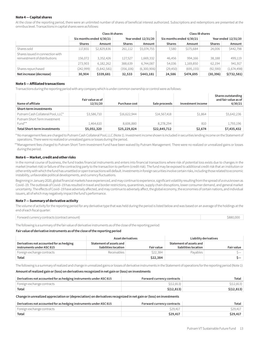#### **Note 4 — Capital shares**

At the close of the reporting period, there were an unlimited number of shares of beneficial interest authorized. Subscriptions and redemptions are presented at the omnibus level. Transactions in capital shares were as follows:

|                                                                   | Class IA shares          |             |                     |             | Class IB shares          |            |                     |              |
|-------------------------------------------------------------------|--------------------------|-------------|---------------------|-------------|--------------------------|------------|---------------------|--------------|
|                                                                   | Six months ended 6/30/21 |             | Year ended 12/31/20 |             | Six months ended 6/30/21 |            | Year ended 12/31/20 |              |
|                                                                   | <b>Shares</b>            | Amount      | <b>Shares</b>       | Amount      | <b>Shares</b>            | Amount     | <b>Shares</b>       | Amount       |
| Shares sold                                                       | 117,831                  | \$2,829,836 | 261,112             | \$5,074,755 | 7,580                    | \$175,684  | 24,006              | \$442,798    |
| Shares issued in connection with<br>reinvestment of distributions | 156.072                  | 3,352,426   | 127,527             | 1,669,332   | 46,456                   | 994,166    | 38,188              | 499,119      |
|                                                                   | 273,903                  | 6,182,262   | 388,639             | 6,744,087   | 54,036                   | 1,169,850  | 62,194              | 941,917      |
| Shares repurchased                                                | (242,999)                | (5,842,581) | (356, 106)          | (6,300,906) | (29, 450)                | (695, 155) | (92, 590)           | (1,674,498)  |
| Net increase (decrease)                                           | 30,904                   | \$339,681   | 32,533              | \$443,181   | 24,586                   | \$474,695  | (30, 396)           | \$(732, 581) |

#### **Note 5 — Affiliated transactions**

Transactions during the reporting period with any company which is under common ownership or control were as follows:

| Name of affiliate                      | Fair value as of<br>12/31/20 | Purchase cost | Sale proceeds | Investment income | Shares outstanding<br>and fair value as of<br>6/30/21 |
|----------------------------------------|------------------------------|---------------|---------------|-------------------|-------------------------------------------------------|
| Short-term investments                 |                              |               |               |                   |                                                       |
| Putnam Cash Collateral Pool, LLC*      | \$3,586,710                  | \$16,622,944  | \$14,567,418  | \$1,864           | \$5,642,236                                           |
| Putnam Short Term Investment<br>Fund** | 1,464,610                    | 8,606,880     | 8.278.294     | 810               | 1,793,196                                             |
| <b>Total Short-term investments</b>    | \$5,051,320                  | \$25,229,824  | \$22,845,712  | \$2,674           | \$7,435,432                                           |

 \*No management fees are charged to Putnam Cash Collateral Pool, LLC (Note 1). Investment income shown is included in securities lending income on the Statement of operations. There were no realized or unrealized gains or losses during the period.

\*\*Management fees charged to Putnam Short Term Investment Fund have been waived by Putnam Management. There were no realized or unrealized gains or losses during the period.

#### **Note 6 — Market, credit and other risks**

In the normal course of business, the fund trades financial instruments and enters into financial transactions where risk of potential loss exists due to changes in the market (market risk) or failure of the contracting party to the transaction to perform (credit risk). The fund may be exposed to additional credit risk that an institution or other entity with which the fund has unsettled or open transactions will default.Investments in foreign securities involve certain risks, including those related to economic instability, unfavorable political developments, and currency fluctuations.

Beginning in January 2020, global financial markets have experienced, and may continue to experience, significant volatility resulting from the spread of a virus known as Covid–19. The outbreak of Covid–19 has resulted in travel and border restrictions, quarantines, supply chain disruptions, lower consumer demand, and general market uncertainty. The effects of Covid–19 have adversely affected, and may continue to adversely affect, the global economy, the economies of certain nations, and individual issuers, all of which may negatively impact the fund's performance.

#### **Note 7 — Summary of derivative activity**

The volume of activity for the reporting period for any derivative type that was held during the period is listed below and was based on an average of the holdings at the end of each fiscal quarter:

| Forward currency contracts (contract amount) | 3880 |
|----------------------------------------------|------|
|----------------------------------------------|------|

The following is a summary of the fair value of derivative instruments as of the close of the reporting period:

#### **Fair value of derivative instruments as of the close of the reporting period**

|                                                                       | Asset derivatives                               |                   | Liability derivatives                           |                   |  |
|-----------------------------------------------------------------------|-------------------------------------------------|-------------------|-------------------------------------------------|-------------------|--|
| Derivatives not accounted for as hedging<br>instruments under ASC 815 | Statement of assets and<br>liabilities location | <b>Fair value</b> | Statement of assets and<br>liabilities location | <b>Fair value</b> |  |
| Foreign exchange contracts                                            | Receivables                                     | \$22,384          | Pavables                                        | S—                |  |
| Total                                                                 |                                                 | \$22,384          |                                                 | $\sim$            |  |

The following is a summary of realized and change in unrealized gains or losses of derivative instruments in the Statement of operations for the reporting period (Note 1):

#### **Amount of realized gain or (loss) on derivatives recognized in net gain or (loss) on investments**

| Derivatives not accounted for as hedging instruments under ASC 815 | Forward currency contracts | Total         |
|--------------------------------------------------------------------|----------------------------|---------------|
| Foreign exchange contracts                                         | S(12, 813)                 | $\S(12, 813)$ |
| Total                                                              | \$(12, 813)                | \$(12, 813)   |

#### **Change in unrealized appreciation or (depreciation) on derivatives recognized in net gain or (loss) on investments**

| Derivatives not accounted for as hedging instruments under ASC 815 | Forward currency contracts | Total    |
|--------------------------------------------------------------------|----------------------------|----------|
| Foreign exchange contracts                                         | \$29,417                   | \$29,417 |
| Total                                                              | \$29.417                   | \$29,417 |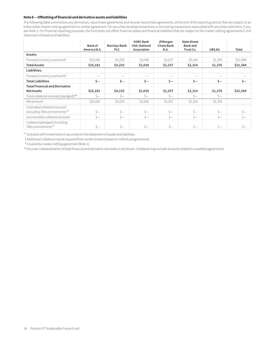#### **Note 8 — Offsetting of financial and derivative assets and liabilities**

The following table summarizes any derivatives, repurchase agreements and reverse repurchase agreements, at the end of the reporting period, that are subject to an enforceable master netting agreement or similar agreement. For securities lending transactions or borrowing transactions associated with securities sold short, if any, see Note 1. For financial reporting purposes, the fund does not offset financial assets and financial liabilities that are subject to the master netting agreements in the Statement of assets and liabilities.

|                                                                 | <b>Bank of</b><br>America N.A. | <b>Barclays Bank</b><br><b>PLC</b> | <b>HSBC Bank</b><br>USA, National<br>Association | <b>JPMorgan</b><br><b>Chase Bank</b><br>N.A. | <b>State Street</b><br><b>Bank</b> and<br>Trust Co. | <b>UBS AG</b> | Total    |
|-----------------------------------------------------------------|--------------------------------|------------------------------------|--------------------------------------------------|----------------------------------------------|-----------------------------------------------------|---------------|----------|
| Assets:                                                         |                                |                                    |                                                  |                                              |                                                     |               |          |
| Forward currency contracts <sup>#</sup>                         | \$10,182                       | \$4,225                            | \$2,030                                          | \$2,257                                      | \$2,314                                             | \$1,376       | \$22,384 |
| <b>Total Assets</b>                                             | \$10,182                       | \$4,225                            | \$2,030                                          | \$2,257                                      | \$2,314                                             | \$1,376       | \$22,384 |
| Liabilities:                                                    |                                |                                    |                                                  |                                              |                                                     |               |          |
| Forward currency contracts <sup>#</sup>                         |                                | $\overline{\phantom{m}}$           |                                                  |                                              |                                                     |               |          |
| <b>Total Liabilities</b>                                        | \$—                            | \$—                                | \$—                                              | \$—                                          | \$—                                                 | $\zeta-$      | \$—      |
| <b>Total Financial and Derivative</b>                           |                                |                                    |                                                  |                                              |                                                     |               |          |
| <b>Net Assets</b>                                               | \$10,182                       | \$4,225                            | \$2,030                                          | \$2,257                                      | \$2,314                                             | \$1,376       | \$22,384 |
| Total collateral received (pledged) <sup>†##</sup>              | $S-$                           | $S-$                               | $S-$                                             | $S-$                                         | $S-$                                                | $s-$          |          |
| Net amount                                                      | \$10,182                       | \$4,225                            | \$2,030                                          | \$2,257                                      | \$2,314                                             | \$1,376       |          |
| Controlled collateral received<br>(including TBA commitments)** | $S-$                           | $s-$                               | $\zeta-$                                         | $s-$                                         | $s-$                                                | $s-$          | $s-$     |
| Uncontrolled collateral received                                | $S-$                           | $S-$                               | $S-$                                             | $S-$                                         | $S-$                                                | $\zeta-$      | $S-$     |
| Collateral (pledged) (including<br>TBA commitments)**           | $S-$                           | $s-$                               | $s-$                                             | $s-$                                         | $s-$                                                | $s-$          | Ś—       |

\*\* Included with Investments in securities on the Statement of assets and liabilities.

†Additional collateral may be required from certain brokers based on individual agreements.

#Covered by master netting agreement (Note 1).

##Any over-collateralization of total financial and derivative net assets is not shown. Collateral may include amounts related to unsettled agreements.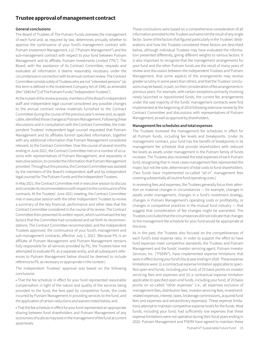### **Trustee approval of management contract**

#### **General conclusions**

The Board of Trustees of The Putnam Funds oversees the management of each fund and, as required by law, determines annually whether to approve the continuance of your fund's management contract with Putnam Investment Management, LLC ("Putnam Management") and the sub-management contract with respect to your fund between Putnam Management and its affiliate, Putnam Investments Limited ("PIL"). The Board, with the assistance of its Contract Committee, requests and evaluates all information it deems reasonably necessary under the circumstances in connection with its annual contract review. The Contract Committee consists solely of Trustees who are not "interested persons" (as this term is defined in the Investment Company Act of 1940, as amended (the "1940 Act")) of The Putnam Funds ("Independent Trustees").

At the outset of the review process, members of the Board's independent staff and independent legal counsel considered any possible changes to the annual contract review materials furnished to the Contract Committee during the course of the previous year's review and, as applicable, identified those changes to Putnam Management. Following these discussions and in consultation with the Contract Committee, the Independent Trustees' independent legal counsel requested that Putnam Management and its affiliates furnish specified information, together with any additional information that Putnam Management considered relevant, to the Contract Committee. Over the course of several months ending in June 2021, the Contract Committee met on a number of occasions with representatives of Putnam Management, and separately in executive session, to consider the information that Putnam Management provided. Throughout this process, the Contract Committee was assisted by the members of the Board's independent staff and by independent legal counsel for The Putnam Funds and the Independent Trustees.

In May 2021, the Contract Committee met in executive session to discuss and consider its recommendations with respect to the continuance of the contracts. At the Trustees' June 2021 meeting, the Contract Committee met in executive session with the other Independent Trustees to review a summary of the key financial, performance and other data that the Contract Committee considered in the course of its review. The Contract Committee then presented its written report, which summarized the key factors that the Committee had considered and set forth its recommendations. The Contract Committee recommended, and the Independent Trustees approved, the continuance of your fund's management and sub-management contracts, effective July 1, 2021. (Because PIL is an affiliate of Putnam Management and Putnam Management remains fully responsible for all services provided by PIL, the Trustees have not attempted to evaluate PIL as a separate entity, and all subsequent references to Putnam Management below should be deemed to include reference to PIL as necessary or appropriate in the context.)

The Independent Trustees' approval was based on the following conclusions:

• That the fee schedule in effect for your fund represented reasonable compensation in light of the nature and quality of the services being provided to the fund, the fees paid by competitive funds, the costs incurred by Putnam Management in providing services to the fund, and the application of certain reductions and waivers noted below; and

• That the fee schedule in effect for your fund represented an appropriate sharing between fund shareholders and Putnam Management of any economies of scale as may exist in the management of the fund at current asset levels.

These conclusions were based on a comprehensive consideration of all information provided to the Trustees and were not the result of any single factor. Some of the factors that figured particularly in the Trustees' deliberations and how the Trustees considered these factors are described below, although individual Trustees may have evaluated the information presented differently, giving different weights to various factors. It is also important to recognize that the management arrangements for your fund and the other Putnam funds are the result of many years of review and discussion between the Independent Trustees and Putnam Management, that some aspects of the arrangements may receive greater scrutiny in some years than others, and that the Trustees' conclusions may be based, in part, on their consideration of fee arrangements in previous years. For example, with certain exceptions primarily involving newly launched or repositioned funds, the current fee arrangements under the vast majority of the funds' management contracts were first implemented at the beginning of 2010 following extensive review by the Contract Committee and discussions with representatives of Putnam Management, as well as approval by shareholders.

#### **Management fee schedules and total expenses**

The Trustees reviewed the management fee schedules in effect for all Putnam funds, including fee levels and breakpoints. Under its management contract, your fund has the benefit of breakpoints in its management fee schedule that provide shareholders with reduced fee levels as assets under management in the Putnam family of funds increase. The Trustees also reviewed the total expenses of each Putnam fund, recognizing that in most cases management fees represented the major, but not the sole, determinant of total costs to fund shareholders. (Two funds have implemented so-called "all-in" management fees covering substantially all routine fund operating costs.)

In reviewing fees and expenses, the Trustees generally focus their attention on material changes in circumstances — for example, changes in assets under management, changes in a fund's investment strategy, changes in Putnam Management's operating costs or profitability, or changes in competitive practices in the mutual fund industry — that suggest that consideration of fee changes might be warranted. The Trustees concluded that the circumstances did not indicate that changes to the management fee schedule for your fund would be appropriate at this time.

As in the past, the Trustees also focused on the competitiveness of each fund's total expense ratio. In order to support the effort to have fund expenses meet competitive standards, the Trustees and Putnam Management and the funds' investor servicing agent, Putnam Investor Services, Inc. ("PSERV"), have implemented expense limitations that were in effect during your fund's fiscal year ending in 2020. These expense limitations were: (i) a contractual expense limitation applicable to specified open-end funds, including your fund, of 25 basis points on investor servicing fees and expenses and (ii) a contractual expense limitation applicable to specified open-end funds, including your fund, of 20 basis points on so-called "other expenses" (i.e., all expenses exclusive of management fees, distribution fees, investor servicing fees, investmentrelated expenses, interest, taxes, brokerage commissions, acquired fund fees and expenses and extraordinary expenses). These expense limitations attempt to maintain competitive expense levels for the funds. Most funds, including your fund, had sufficiently low expenses that these expense limitations were not operative during their fiscal years ending in 2020. Putnam Management and PSERV have agreed to maintain these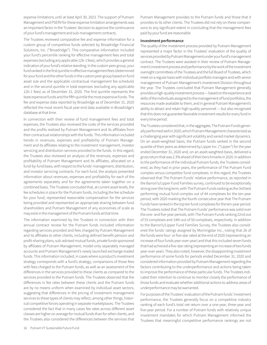expense limitations until at least April 30, 2023. The support of Putnam Management and PSERV for these expense limitation arrangements was an important factor in the Trustees' decision to approve the continuance of your fund's management and sub-management contracts.

The Trustees reviewed comparative fee and expense information for a custom group of competitive funds selected by Broadridge Financial Solutions, Inc. ("Broadridge"). This comparative information included your fund's percentile ranking for effective management fees and total expenses (excluding any applicable 12b-1 fees), which provides a general indication of your fund's relative standing. In the custom peer group, your fund ranked in the first quintile in effective management fees (determined for your fund and the other funds in the custom peer group based on fund asset size and the applicable contractual management fee schedule) and in the second quintile in total expenses (excluding any applicable 12b-1 fees) as of December 31, 2020. The first quintile represents the least expensive funds and the fifth quintile the most expensive funds. The fee and expense data reported by Broadridge as of December 31, 2020 reflected the most recent fiscal year-end data available in Broadridge's database at that time.

In connection with their review of fund management fees and total expenses, the Trustees also reviewed the costs of the services provided and the profits realized by Putnam Management and its affiliates from their contractual relationships with the funds. This information included trends in revenues, expenses and profitability of Putnam Management and its affiliates relating to the investment management, investor servicing and distribution services provided to the funds. In this regard, the Trustees also reviewed an analysis of the revenues, expenses and profitability of Putnam Management and its affiliates, allocated on a fund-by-fund basis, with respect to the funds' management, distribution, and investor servicing contracts. For each fund, the analysis presented information about revenues, expenses and profitability for each of the agreements separately and for the agreements taken together on a combined basis. The Trustees concluded that, at current asset levels, the fee schedules in place for the Putnam funds, including the fee schedule for your fund, represented reasonable compensation for the services being provided and represented an appropriate sharing between fund shareholders and Putnam Management of any economies of scale as may exist in the management of the Putnam funds at that time.

The information examined by the Trustees in connection with their annual contract review for the Putnam funds included information regarding services provided and fees charged by Putnam Management and its affiliates to other clients, including defined benefit pension and profit-sharing plans, sub-advised mutual funds, private funds sponsored by affiliates of Putnam Management, model-only separately managed accounts and Putnam Management's newly launched exchange-traded funds. This information included, in cases where a product's investment strategy corresponds with a fund's strategy, comparisons of those fees with fees charged to the Putnam funds, as well as an assessment of the differences in the services provided to these clients as compared to the services provided to the Putnam funds. The Trustees observed that the differences in fee rates between these clients and the Putnam funds are by no means uniform when examined by individual asset sectors, suggesting that differences in the pricing of investment management services to these types of clients may reflect, among other things, historical competitive forces operating in separate marketplaces. The Trustees considered the fact that in many cases fee rates across different asset classes are higher on average for mutual funds than for other clients, and the Trustees also considered the differences between the services that Putnam Management provides to the Putnam funds and those that it provides to its other clients. The Trustees did not rely on these comparisons to any significant extent in concluding that the management fees paid by your fund are reasonable.

#### **Investment performance**

The quality of the investment process provided by Putnam Management represented a major factor in the Trustees' evaluation of the quality of services provided by Putnam Management under your fund's management contract. The Trustees were assisted in their review of Putnam Management's investment process and performance by the work of the investment oversight committees of the Trustees and the full Board of Trustees, which meet on a regular basis with individual portfolio managers and with senior management of Putnam Management's Investment Division throughout the year. The Trustees concluded that Putnam Management generally provides a high-quality investment process — based on the experience and skills of the individuals assigned to the management of fund portfolios, the resources made available to them, and in general Putnam Management's ability to attract and retain high-quality personnel — but also recognized that this does not guarantee favorable investment results for every fund in every time period.

The Trustees considered that, in the aggregate, The Putnam Funds generally performed well in 2020, which Putnam Management characterized as a challenging year with significant volatility and varied market dynamics. On an asset-weighted basis, the Putnam funds ranked in the second quartile of their peers as determined by Lipper Inc. ("Lipper") for the year ended December 31, 2020 and, on an asset-weighted-basis, delivered a gross return that was 2.3% ahead of their benchmarks in 2020. In addition to the performance of the individual Putnam funds, the Trustees considered, as they had in prior years, the performance of The Putnam Fund complex versus competitor fund complexes. In this regard, the Trustees observed that The Putnam Funds' relative performance, as reported in the Barron's/Lipper Fund Families survey, continued to be exceptionally strong over the long term, with The Putnam Funds ranking as the 3rd best performing mutual fund complex out of 44 complexes for the ten-year period, with 2020 marking the fourth consecutive year that The Putnam Funds have ranked in the top ten fund complexes for the ten-year period. The Trustees noted that The Putnam Funds' performance was solid over the one- and five-year periods, with The Putnam Funds ranking 22nd out of 53 complexes and 14th out of 50 complexes, respectively. In addition to the Barron's/Lipper Fund Families Survey, the Trustees also considered the funds' ratings assigned by Morningstar Inc., noting that 26 of the funds were four- or five-star rated at the end of 2020 (representing an increase of four funds year-over-year) and that this included seven funds that had achieved a five-star rating (representing an increase of two funds year-over-year). They also noted, however, the disappointing investment performance of some funds for periods ended December 31, 2020 and considered information provided by Putnam Management regarding the factors contributing to the underperformance and actions being taken to improve the performance of these particular funds. The Trustees indicated their intention to continue to monitor closely the performance of those funds and evaluate whether additional actions to address areas of underperformance may be warranted.

For purposes of the Trustees' evaluation of the Putnam funds' investment performance, the Trustees generally focus on a competitive industry ranking of each fund's total net return over a one-year, three-year and five-year period. For a number of Putnam funds with relatively unique investment mandates for which Putnam Management informed the Trustees that meaningful competitive performance rankings are not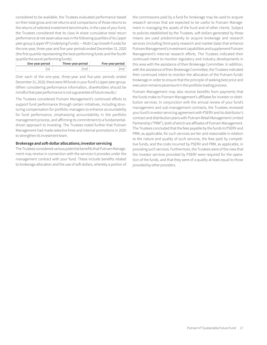considered to be available, the Trustees evaluated performance based on their total gross and net returns and comparisons of those returns to the returns of selected investment benchmarks. In the case of your fund, the Trustees considered that its class IA share cumulative total return performance at net asset value was in the following quartiles of its Lipper peer group (Lipper VP (Underlying Funds) — Multi-Cap Growth Funds) for the one-year, three-year and five-year periods ended December 31, 2020 (the first quartile representing the best-performing funds and the fourth quartile the worst-performing funds):

| One-year period | Three-year period | Five-year period |
|-----------------|-------------------|------------------|
|                 | 'nd               |                  |

Over each of the one-year, three-year and five-year periods ended December 31, 2020, there were 99 funds in your fund's Lipper peer group. (When considering performance information, shareholders should be mindful that past performance is not a guarantee of future results.)

The Trustees considered Putnam Management's continued efforts to support fund performance through certain initiatives, including structuring compensation for portfolio managers to enhance accountability for fund performance, emphasizing accountability in the portfolio management process, and affirming its commitment to a fundamentaldriven approach to investing. The Trustees noted further that Putnam Management had made selective hires and internal promotions in 2020 to strengthen its investment team.

#### **Brokerage and soft-dollar allocations; investor servicing**

The Trustees considered various potential benefits that Putnam Management may receive in connection with the services it provides under the management contract with your fund. These include benefits related to brokerage allocation and the use of soft dollars, whereby a portion of

the commissions paid by a fund for brokerage may be used to acquire research services that are expected to be useful to Putnam Management in managing the assets of the fund and of other clients. Subject to policies established by the Trustees, soft dollars generated by these means are used predominantly to acquire brokerage and research services (including third-party research and market data) that enhance Putnam Management's investment capabilities and supplement Putnam Management's internal research efforts. The Trustees indicated their continued intent to monitor regulatory and industry developments in this area with the assistance of their Brokerage Committee. In addition, with the assistance of their Brokerage Committee, the Trustees indicated their continued intent to monitor the allocation of the Putnam funds' brokerage in order to ensure that the principle of seeking best price and execution remains paramount in the portfolio trading process.

Putnam Management may also receive benefits from payments that the funds make to Putnam Management's affiliates for investor or distribution services. In conjunction with the annual review of your fund's management and sub-management contracts, the Trustees reviewed your fund's investor servicing agreement with PSERV and its distributor's contract and distribution plans with Putnam Retail Management Limited Partnership ("PRM"), both of which are affiliates of Putnam Management. The Trustees concluded that the fees payable by the funds to PSERV and PRM, as applicable, for such services are fair and reasonable in relation to the nature and quality of such services, the fees paid by competitive funds, and the costs incurred by PSERV and PRM, as applicable, in providing such services. Furthermore, the Trustees were of the view that the investor services provided by PSERV were required for the operation of the funds, and that they were of a quality at least equal to those provided by other providers.